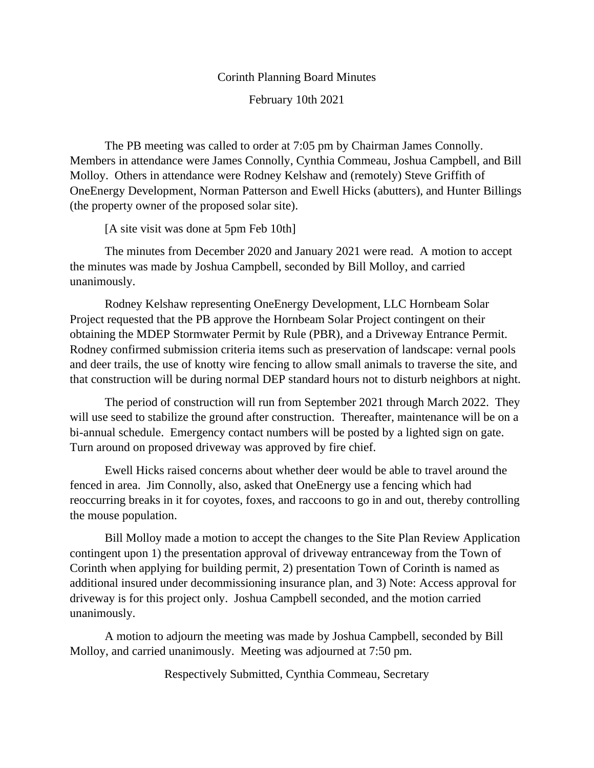## Corinth Planning Board Minutes February 10th 2021

The PB meeting was called to order at 7:05 pm by Chairman James Connolly. Members in attendance were James Connolly, Cynthia Commeau, Joshua Campbell, and Bill Molloy. Others in attendance were Rodney Kelshaw and (remotely) Steve Griffith of OneEnergy Development, Norman Patterson and Ewell Hicks (abutters), and Hunter Billings (the property owner of the proposed solar site).

[A site visit was done at 5pm Feb 10th]

The minutes from December 2020 and January 2021 were read. A motion to accept the minutes was made by Joshua Campbell, seconded by Bill Molloy, and carried unanimously.

Rodney Kelshaw representing OneEnergy Development, LLC Hornbeam Solar Project requested that the PB approve the Hornbeam Solar Project contingent on their obtaining the MDEP Stormwater Permit by Rule (PBR), and a Driveway Entrance Permit. Rodney confirmed submission criteria items such as preservation of landscape: vernal pools and deer trails, the use of knotty wire fencing to allow small animals to traverse the site, and that construction will be during normal DEP standard hours not to disturb neighbors at night.

The period of construction will run from September 2021 through March 2022. They will use seed to stabilize the ground after construction. Thereafter, maintenance will be on a bi-annual schedule. Emergency contact numbers will be posted by a lighted sign on gate. Turn around on proposed driveway was approved by fire chief.

Ewell Hicks raised concerns about whether deer would be able to travel around the fenced in area. Jim Connolly, also, asked that OneEnergy use a fencing which had reoccurring breaks in it for coyotes, foxes, and raccoons to go in and out, thereby controlling the mouse population.

Bill Molloy made a motion to accept the changes to the Site Plan Review Application contingent upon 1) the presentation approval of driveway entranceway from the Town of Corinth when applying for building permit, 2) presentation Town of Corinth is named as additional insured under decommissioning insurance plan, and 3) Note: Access approval for driveway is for this project only. Joshua Campbell seconded, and the motion carried unanimously.

A motion to adjourn the meeting was made by Joshua Campbell, seconded by Bill Molloy, and carried unanimously. Meeting was adjourned at 7:50 pm.

Respectively Submitted, Cynthia Commeau, Secretary